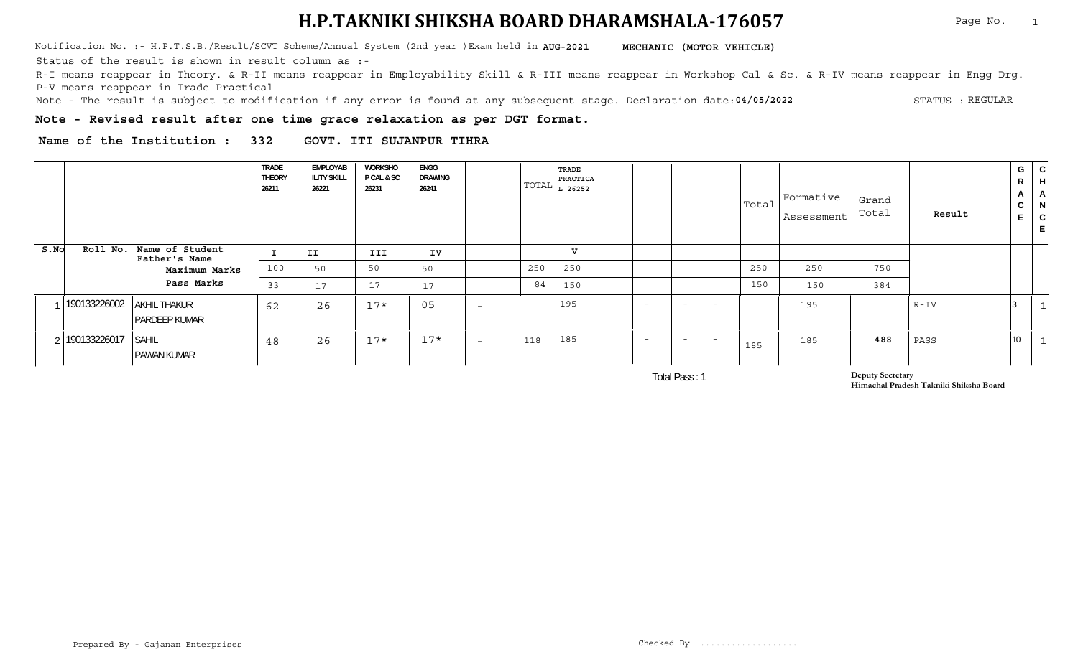Notification No. :- H.P.T.S.B./Result/SCVT Scheme/Annual System (2nd year )Exam held in **MECHANIC (MOTOR VEHICLE) AUG-2021**

Status of the result is shown in result column as :-

R-I means reappear in Theory. & R-II means reappear in Employability Skill & R-III means reappear in Workshop Cal & Sc. & R-IV means reappear in Engg Drg. P-V means reappear in Trade Practical

**04/05/2022** Note - The result is subject to modification if any error is found at any subsequent stage. Declaration date: STATUS : STATUS : REGULAR

**Note - Revised result after one time grace relaxation as per DGT format.**

**Name of the Institution : 332 GOVT. ITI SUJANPUR TIHRA**

|      |                      |                                                     | <b>TRADE</b><br><b>THEORY</b><br>26211 | EMPLOYAB<br><b>ILITY SKILL</b><br>26221 | WORKSHO<br><b>P CAL &amp; SC</b><br>26231 | <b>ENGG</b><br>DRAWING<br>26241 |                          |     | TRADE<br>PRACTICA<br>$\boxed{\text{TOTAL}$ $L$ 26252 |        |                          |                          |     | $ \texttt{Total} $ Formative $ \texttt{I} $<br>Assessment | Grand<br>Total | Result   | G<br>R<br>$\mathbf{A}$<br>C<br>E. | $\mathsf{C}$<br>H<br>A<br>N<br>$\sim$<br>└ |
|------|----------------------|-----------------------------------------------------|----------------------------------------|-----------------------------------------|-------------------------------------------|---------------------------------|--------------------------|-----|------------------------------------------------------|--------|--------------------------|--------------------------|-----|-----------------------------------------------------------|----------------|----------|-----------------------------------|--------------------------------------------|
| S.NO | Roll No.             | Name of Student<br>Father's Name                    |                                        | II                                      | III                                       | IV                              |                          |     | v                                                    |        |                          |                          |     |                                                           |                |          |                                   |                                            |
|      |                      | Maximum Marks                                       | 100                                    | 50                                      | 50                                        | 50                              |                          | 250 | 250                                                  |        |                          |                          | 250 | 250                                                       | 750            |          |                                   |                                            |
|      |                      | Pass Marks                                          | 33                                     | 17                                      | 17                                        | 17                              |                          | 84  | 150                                                  |        |                          |                          | 150 | 150                                                       | 384            |          |                                   |                                            |
|      |                      | 190133226002 AKHIL THAKUR<br><b>I PARDEEP KUMAR</b> | 62                                     | 26                                      | $17*$                                     | 05                              | $\overline{\phantom{0}}$ |     | 195                                                  | $\sim$ | $\overline{\phantom{a}}$ | $\overline{\phantom{0}}$ |     | 195                                                       |                | $R - IV$ |                                   | $\mathbf{1}$                               |
|      | 2 190133226017 SAHIL | <b>PAWAN KUMAR</b>                                  | 48                                     | 26                                      | $17*$                                     | $17*$                           | $\overline{\phantom{0}}$ | 118 | 185                                                  |        | $\overline{\phantom{0}}$ | $\overline{\phantom{0}}$ | 185 | 185                                                       | 488            | PASS     | 10                                | $\mathbf{1}$                               |

Total Pass : 1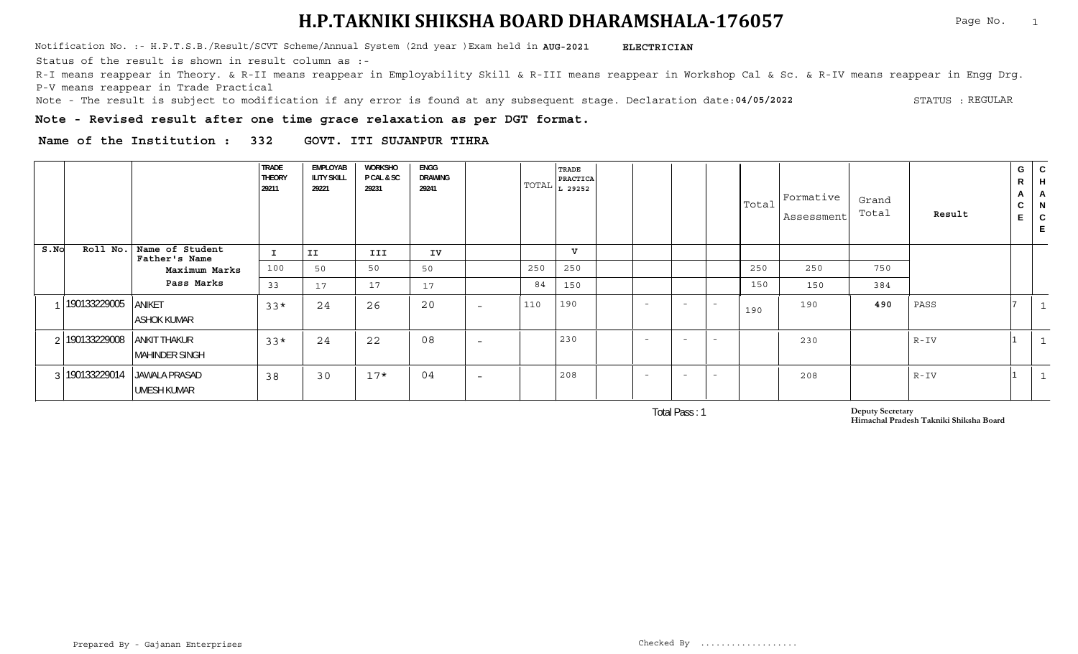Notification No. :- H.P.T.S.B./Result/SCVT Scheme/Annual System (2nd year )Exam held in **AUG-2021 ELECTRICIAN** 

Status of the result is shown in result column as :-

R-I means reappear in Theory. & R-II means reappear in Employability Skill & R-III means reappear in Workshop Cal & Sc. & R-IV means reappear in Engg Drg. P-V means reappear in Trade Practical

**04/05/2022** Note - The result is subject to modification if any error is found at any subsequent stage. Declaration date: STATUS : STATUS : REGULAR

**Note - Revised result after one time grace relaxation as per DGT format.**

**Name of the Institution : 332 GOVT. ITI SUJANPUR TIHRA**

|      |                |                                              | <b>TRADE</b><br><b>THEORY</b><br>29211 | EMPLOYAB<br><b>ILITY SKILL</b><br>29221 | WORKSHO<br>P CAL & SC<br>29231 | ENGG<br>DRAWING<br>29241       | TOTAL | TRADE<br>PRACTICA<br>L 29252 |        |                          |                          | Total | Formative<br>Assessment | Grand<br>Total | Result   | G<br>R<br>$\mathsf{A}$<br>◡ | ${\bf C}$<br>H<br>A<br>N<br>$\mathsf{C}$ |
|------|----------------|----------------------------------------------|----------------------------------------|-----------------------------------------|--------------------------------|--------------------------------|-------|------------------------------|--------|--------------------------|--------------------------|-------|-------------------------|----------------|----------|-----------------------------|------------------------------------------|
| S.NO | Roll No.       | Name of Student<br>Father's Name             | $\mathbf{I}$                           | II                                      | <b>III</b>                     | IV                             |       | $\mathbf{v}$                 |        |                          |                          |       |                         |                |          |                             |                                          |
|      |                | Maximum Marks                                | 100                                    | 50                                      | 50                             | 50                             | 250   | 250                          |        |                          |                          | 250   | 250                     | 750            |          |                             |                                          |
|      |                | Pass Marks                                   | 33                                     | 17                                      | 17                             | 17                             | 84    | 150                          |        |                          |                          | 150   | 150                     | 384            |          |                             |                                          |
|      | 190133229005   | ANIKET<br><b>ASHOK KUMAR</b>                 | $33*$                                  | 24                                      | 26                             | 20<br>$\overline{\phantom{0}}$ | 110   | 190                          | $\sim$ | $\overline{\phantom{a}}$ | $\overline{a}$           | 190   | 190                     | 490            | PASS     |                             | - 11                                     |
|      | 190133229008   | <b>ANKIT THAKUR</b><br><b>MAHINDER SINGH</b> | $33*$                                  | 24                                      | 22                             | 08<br>$\overline{\phantom{0}}$ |       | 230                          | $\sim$ | $\overline{\phantom{a}}$ | $\overline{\phantom{0}}$ |       | 230                     |                | $R - IV$ |                             |                                          |
|      | 3 190133229014 | <b>JAWALA PRASAD</b><br><b>UMESH KUMAR</b>   | 38                                     | 30                                      | $17*$                          | 04<br>$\overline{\phantom{0}}$ |       | 208                          |        | $\overline{\phantom{0}}$ | $\overline{\phantom{0}}$ |       | 208                     |                | $R - IV$ |                             |                                          |

Total Pass : 1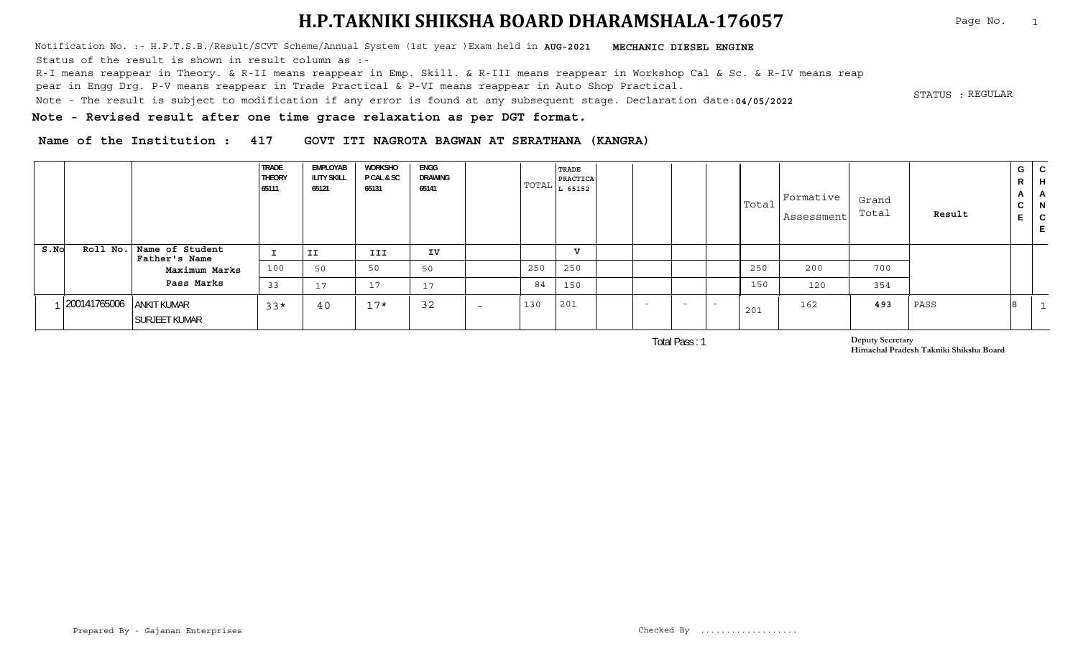Notification No. :- H.P.T.S.B./Result/SCVT Scheme/Annual System (1st year )Exam held in **MECHANIC DIESEL ENGINE AUG-2021** . STATUS :<br>Note - The result is subject to modification if any error is found at any subsequent stage. Declaration date:**04/05/2022** Status of the result is shown in result column as :-R-I means reappear in Theory. & R-II means reappear in Emp. Skill. & R-III means reappear in Workshop Cal & Sc. & R-IV means reap pear in Engg Drg. P-V means reappear in Trade Practical & P-VI means reappear in Auto Shop Practical.

STATUS : REGULAR

Page No. 1

**Note - Revised result after one time grace relaxation as per DGT format.**

**Name of the Institution : 417 GOVT ITI NAGROTA BAGWAN AT SERATHANA (KANGRA)**

|      |                          |                                             | <b>TRADE</b><br><b>THEORY</b><br>65111 | EMPLOYAB<br><b>ILITY SKILL</b><br>65121 | WORKSHO<br><b>P CAL &amp; SC</b><br>65131 | ENGG<br>DRAWING<br>65141 |                          |     | <b>TRADE</b><br><b>PRACTICA</b><br>$\boxed{\text{TOTAL}$ $L$ 65152 |        |        |        | Total | Formative<br>Assessment | Grand<br>Total | Result | R<br>$\mathbf{A}$<br>$\sim$<br>◡ | $G \mid C$<br>$\mathsf{H}$<br>$\mathsf{H}$<br>- N<br>C |
|------|--------------------------|---------------------------------------------|----------------------------------------|-----------------------------------------|-------------------------------------------|--------------------------|--------------------------|-----|--------------------------------------------------------------------|--------|--------|--------|-------|-------------------------|----------------|--------|----------------------------------|--------------------------------------------------------|
| S.NO |                          | Roll No.   Name of Student<br>Father's Name |                                        | II                                      | III                                       | IV                       |                          |     | TT.                                                                |        |        |        |       |                         |                |        |                                  |                                                        |
|      |                          | Maximum Marks                               | 100                                    | 50                                      | 50                                        | 50                       |                          | 250 | 250                                                                |        |        |        | 250   | 200                     | 700            |        |                                  |                                                        |
|      |                          | Pass Marks                                  | 33                                     | 17                                      | 17                                        | 17                       |                          | 84  | 150                                                                |        |        |        | 150   | 120                     | 354            |        |                                  |                                                        |
|      | 200141765006 ANKIT KUMAR | <b>SURJEET KUMAR</b>                        | $33*$                                  | 40                                      | $17*$                                     | 32                       | $\overline{\phantom{0}}$ | 130 | 201                                                                | $\sim$ | $\sim$ | $\sim$ | 201   | 162                     | 493            | PASS   |                                  |                                                        |

Total Pass : 1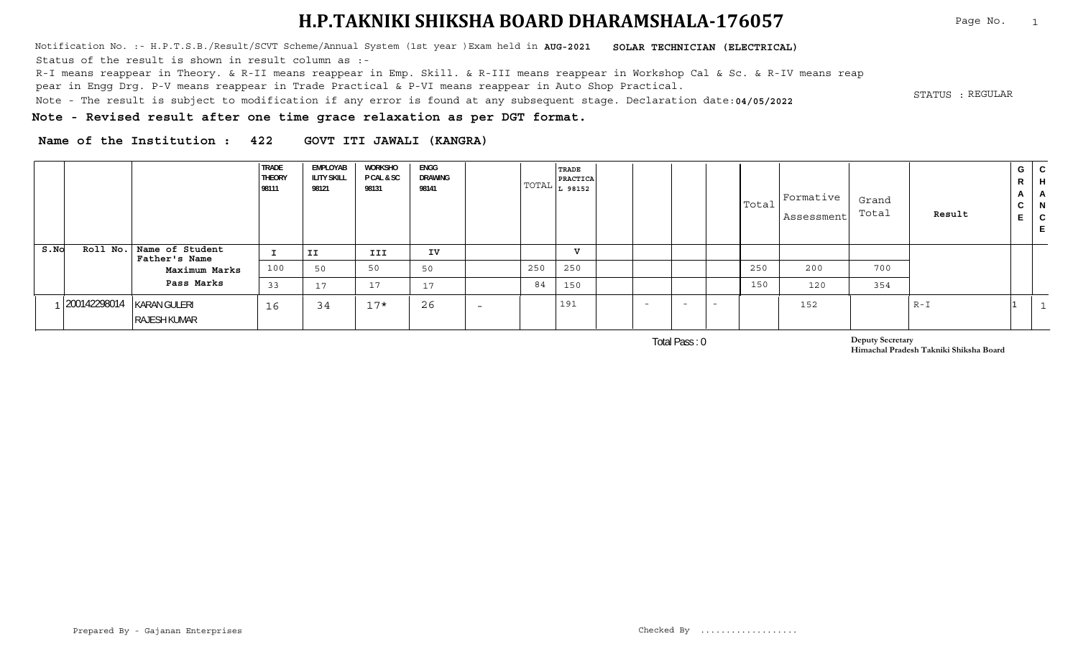Notification No. :- H.P.T.S.B./Result/SCVT Scheme/Annual System (1st year )Exam held in **AUG-2021 SOLAR TECHNICIAN (ELECTRICAL)** Status of the result is shown in result column as :-

R-I means reappear in Theory. & R-II means reappear in Emp. Skill. & R-III means reappear in Workshop Cal & Sc. & R-IV means reap

pear in Engg Drg. P-V means reappear in Trade Practical & P-VI means reappear in Auto Shop Practical.

. STATUS :<br>Note - The result is subject to modification if any error is found at any subsequent stage. Declaration date:**04/05/2022** 

**Note - Revised result after one time grace relaxation as per DGT format.**

**Name of the Institution : 422 GOVT ITI JAWALI (KANGRA)**

|      |              |                                           | <b>TRADE</b><br><b>THEORY</b><br>98111 | EMPLOYAB<br><b>ILITY SKILL</b><br>98121 | WORKSHO<br><b>P CAL &amp; SC</b><br>98131 | ENGG<br>DRAWING<br>98141   |                          |     | <b>TRADE</b><br><b>PRACTICA</b><br>$\text{TOTAL}$ $L_{98152}$ |                          |                          |                          | Total | Formative<br>Assessment | Grand<br>Total | Result  | G  <br>R<br>$\mathbf{A}$<br>◡ | C.<br>H<br>- N<br>C |
|------|--------------|-------------------------------------------|----------------------------------------|-----------------------------------------|-------------------------------------------|----------------------------|--------------------------|-----|---------------------------------------------------------------|--------------------------|--------------------------|--------------------------|-------|-------------------------|----------------|---------|-------------------------------|---------------------|
| S.No |              | Roll No. Name of Student<br>Father's Name |                                        | II                                      | III                                       | IV                         |                          |     | T                                                             |                          |                          |                          |       |                         |                |         |                               |                     |
|      |              | Maximum Marks                             | 100                                    | 50                                      | 50                                        | 50                         |                          | 250 | 250                                                           |                          |                          |                          | 250   | 200                     | 700            |         |                               |                     |
|      |              | Pass Marks                                | 33                                     | 17                                      | 17                                        | $\overline{1}$<br><b>L</b> |                          | 84  | 150                                                           |                          |                          |                          | 150   | 120                     | 354            |         |                               |                     |
|      | 200142298014 | KARAN GULERI<br><b>RAJESH KUMAR</b>       | 16                                     | 34                                      | $17*$                                     | 26                         | $\overline{\phantom{0}}$ |     | 191                                                           | $\overline{\phantom{0}}$ | $\overline{\phantom{0}}$ | $\overline{\phantom{a}}$ |       | 152                     |                | $R - I$ |                               |                     |

Total Pass : 0

**Deputy Secretary Himachal Pradesh Takniki Shiksha Board**

Page No. 1

STATUS : REGULAR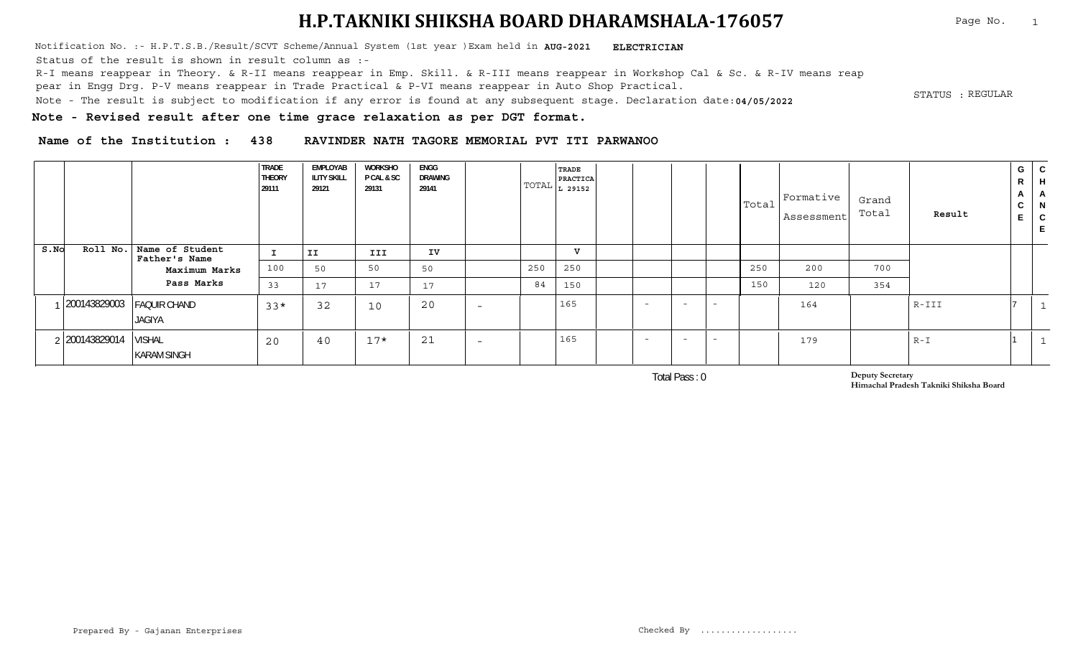Notification No. :- H.P.T.S.B./Result/SCVT Scheme/Annual System (1st year )Exam held in **AUG-2021 ELECTRICIAN** 

Status of the result is shown in result column as :-

R-I means reappear in Theory. & R-II means reappear in Emp. Skill. & R-III means reappear in Workshop Cal & Sc. & R-IV means reap

pear in Engg Drg. P-V means reappear in Trade Practical & P-VI means reappear in Auto Shop Practical.

. STATUS :<br>Note - The result is subject to modification if any error is found at any subsequent stage. Declaration date:**04/05/2022** 

STATUS : REGULAR

**Note - Revised result after one time grace relaxation as per DGT format.**

**Name of the Institution : 438 RAVINDER NATH TAGORE MEMORIAL PVT ITI PARWANOO**

|      |                           |                                     | <b>TRADE</b><br><b>THEORY</b><br>29111 | <b>EMPLOYAB</b><br><b>ILITY SKILL</b><br>29121 | <b>WORKSHO</b><br>P CAL & SC<br>29131 | <b>ENGG</b><br><b>DRAWING</b><br>29141 |                          |     | <b>TRADE</b><br>PRACTICA<br>$ TOTAL _{L}$ 29152 $ $ |                          |                          |                          |     | $ \text{Total} $ Formative $\frac{1}{2}$<br>Assessment | Grand<br>Total | Result  | G<br>R<br>$\mathsf{A}$<br>$\sim$<br>◡ | C<br>H<br>- A<br>N<br>$\mathsf{C}$ |
|------|---------------------------|-------------------------------------|----------------------------------------|------------------------------------------------|---------------------------------------|----------------------------------------|--------------------------|-----|-----------------------------------------------------|--------------------------|--------------------------|--------------------------|-----|--------------------------------------------------------|----------------|---------|---------------------------------------|------------------------------------|
| S.NO | Roll No.                  | Name of Student<br>Father's Name    |                                        | II.                                            | III                                   | IV                                     |                          |     | v                                                   |                          |                          |                          |     |                                                        |                |         |                                       |                                    |
|      |                           | Maximum Marks                       | 100                                    | 50                                             | 50                                    | 50                                     |                          | 250 | 250                                                 |                          |                          |                          | 250 | 200                                                    | 700            |         |                                       |                                    |
|      |                           | Pass Marks                          | 33                                     | 17                                             | 17                                    | 17                                     |                          | 84  | 150                                                 |                          |                          |                          | 150 | 120                                                    | 354            |         |                                       |                                    |
|      | 200143829003 FAQUIR CHAND | <b>JAGIYA</b>                       | $33*$                                  | 32                                             | 10                                    | 20                                     | $\overline{\phantom{0}}$ |     | 165                                                 | $\overline{\phantom{0}}$ | <b>COL</b>               | $-$                      |     | 164                                                    |                | $R-III$ |                                       |                                    |
|      | 2 200143829014            | <b>VISHAL</b><br><b>KARAM SINGH</b> | 20                                     | 40                                             | $17*$                                 | 21                                     | $\overline{\phantom{0}}$ |     | 165                                                 | $\overline{\phantom{0}}$ | $\overline{\phantom{0}}$ | $\overline{\phantom{a}}$ |     | 179                                                    |                | $R - I$ |                                       |                                    |

Total Pass : 0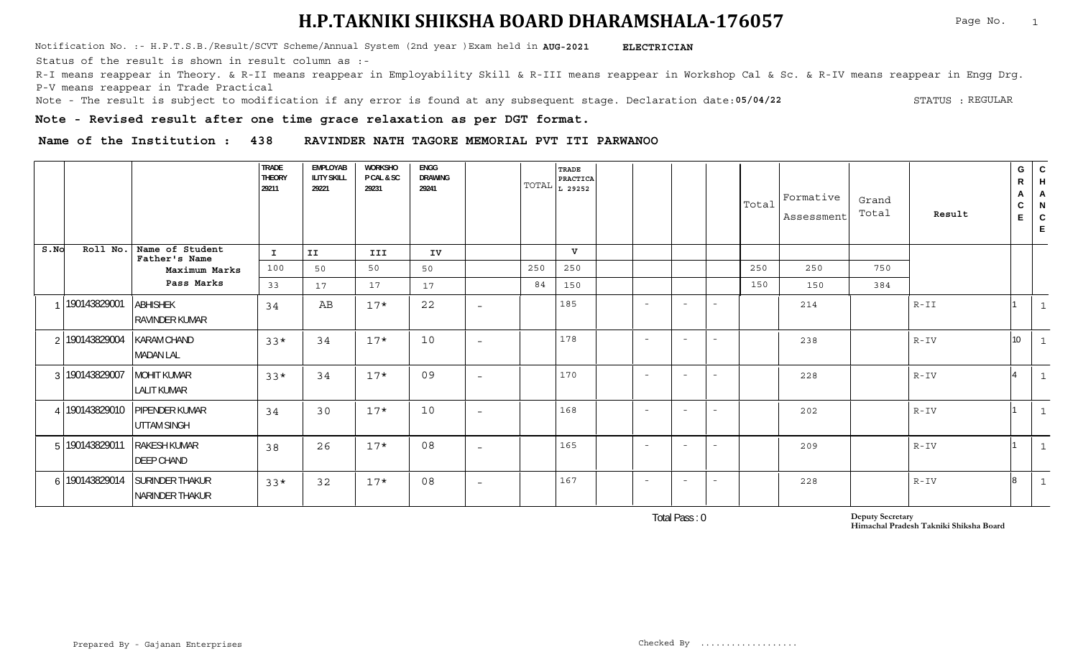Notification No. :- H.P.T.S.B./Result/SCVT Scheme/Annual System (2nd year )Exam held in **AUG-2021 ELECTRICIAN** 

Status of the result is shown in result column as :-

R-I means reappear in Theory. & R-II means reappear in Employability Skill & R-III means reappear in Workshop Cal & Sc. & R-IV means reappear in Engg Drg. P-V means reappear in Trade Practical

**05/04/22** Note - The result is subject to modification if any error is found at any subsequent stage. Declaration date: STATUS : STATUS : REGULAR

**Note - Revised result after one time grace relaxation as per DGT format.**

**Name of the Institution : 438 RAVINDER NATH TAGORE MEMORIAL PVT ITI PARWANOO**

|      |                |                                           | <b>TRADE</b><br><b>THEORY</b><br>29211 | <b>EMPLOYAB</b><br><b>ILITY SKILL</b><br>29221 | <b>WORKSHO</b><br>P CAL & SC<br>29231 | <b>ENGG</b><br><b>DRAWING</b><br>29241 |                          |     | TRADE<br>PRACTICA<br>$\text{TOTAL}\left  \text{L}\right.$ 29252 |                          |                          |                          | Total | Formative<br>Assessment | Grand<br>Total | Result   | G<br>$\mathsf{R}$<br>А<br>${\bf C}$<br>E | ${\rm c}$<br>H<br>A<br>N<br>$\mathsf{C}$<br>E |
|------|----------------|-------------------------------------------|----------------------------------------|------------------------------------------------|---------------------------------------|----------------------------------------|--------------------------|-----|-----------------------------------------------------------------|--------------------------|--------------------------|--------------------------|-------|-------------------------|----------------|----------|------------------------------------------|-----------------------------------------------|
| S.NO | Roll No.       | Name of Student<br>Father's Name          | I.                                     | II                                             | III                                   | IV                                     |                          |     | v                                                               |                          |                          |                          |       |                         |                |          |                                          |                                               |
|      |                | Maximum Marks                             | 100                                    | 50                                             | 50                                    | 50                                     |                          | 250 | 250                                                             |                          |                          |                          | 250   | 250                     | 750            |          |                                          |                                               |
|      |                | Pass Marks                                | 33                                     | 17                                             | 17                                    | 17                                     |                          | 84  | 150                                                             |                          |                          |                          | 150   | 150                     | 384            |          |                                          |                                               |
|      | 190143829001   | <b>ABHISHEK</b><br><b>RAVINDER KUMAR</b>  | 34                                     | AВ                                             | $17*$                                 | 22                                     | $\overline{\phantom{a}}$ |     | 185                                                             | $\overline{\phantom{a}}$ | $\overline{\phantom{0}}$ | $\overline{\phantom{a}}$ |       | 214                     |                | $R - II$ |                                          |                                               |
|      | 2 190143829004 | <b>KARAM CHAND</b><br><b>MADAN LAL</b>    | $33*$                                  | 34                                             | $17*$                                 | 10                                     | $\overline{\phantom{a}}$ |     | 178                                                             | $\overline{\phantom{a}}$ | $\overline{\phantom{0}}$ | $\overline{\phantom{a}}$ |       | 238                     |                | $R-IV$   | 10 <sup>°</sup>                          |                                               |
|      | 3 190143829007 | <b>MOHIT KUMAR</b><br><b>LALIT KUMAR</b>  | $33*$                                  | 34                                             | $17*$                                 | 09                                     | $\overline{\phantom{a}}$ |     | 170                                                             | $\overline{\phantom{a}}$ | $\overline{\phantom{0}}$ | $\overline{\phantom{a}}$ |       | 228                     |                | $R - IV$ |                                          |                                               |
|      | 190143829010   | PIPENDER KUMAR<br><b>UTTAM SINGH</b>      | 34                                     | 30                                             | $17*$                                 | 10                                     | $\overline{\phantom{a}}$ |     | 168                                                             | $\overline{a}$           | $\overline{\phantom{0}}$ | $\sim$                   |       | 202                     |                | $R - IV$ |                                          |                                               |
|      | 5 190143829011 | <b>RAKESH KUMAR</b><br><b>DEEP CHAND</b>  | 38                                     | 26                                             | $17*$                                 | 08                                     | $\overline{\phantom{a}}$ |     | 165                                                             | $\overline{\phantom{a}}$ | $\sim$                   | $\overline{\phantom{a}}$ |       | 209                     |                | $R-IV$   |                                          | - 1                                           |
|      | 6 190143829014 | <b>SURINDER THAKUR</b><br>NARINDER THAKUR | $33*$                                  | 32                                             | $17*$                                 | 08                                     | $\overline{\phantom{a}}$ |     | 167                                                             | $\overline{\phantom{a}}$ | $\overline{\phantom{0}}$ | $\overline{\phantom{a}}$ |       | 228                     |                | $R - IV$ | 8                                        |                                               |

Total Pass : 0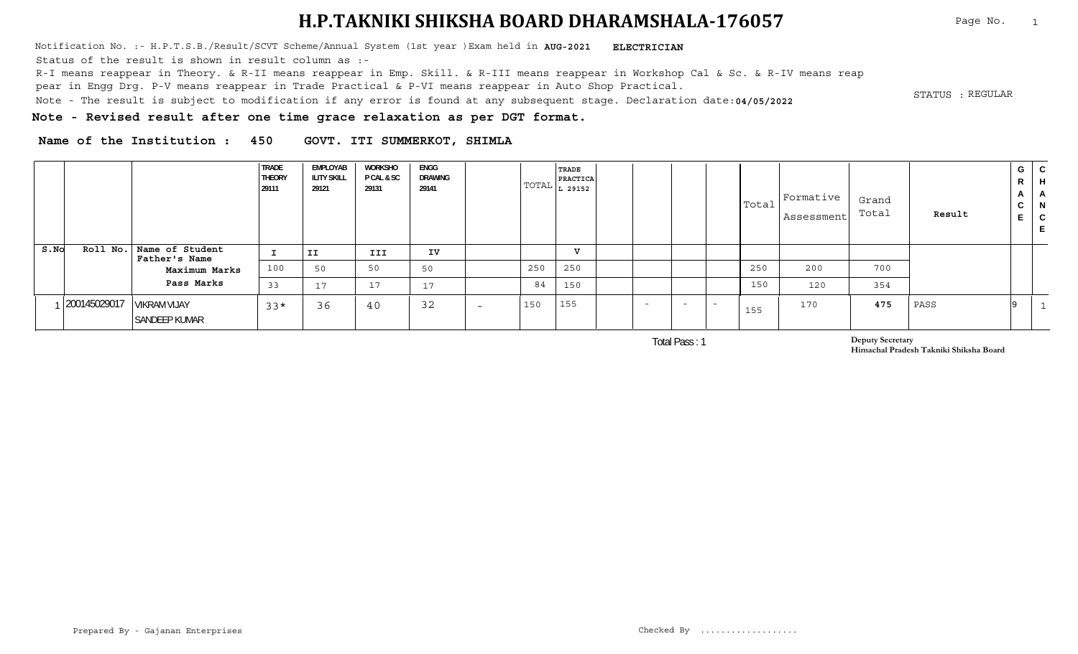Notification No. :- H.P.T.S.B./Result/SCVT Scheme/Annual System (1st year )Exam held in **AUG-2021 ELECTRICIAN** 

Status of the result is shown in result column as :-

R-I means reappear in Theory. & R-II means reappear in Emp. Skill. & R-III means reappear in Workshop Cal & Sc. & R-IV means reap

pear in Engg Drg. P-V means reappear in Trade Practical & P-VI means reappear in Auto Shop Practical.

. STATUS :<br>Note - The result is subject to modification if any error is found at any subsequent stage. Declaration date:**04/05/2022** 

STATUS : REGULAR

**Note - Revised result after one time grace relaxation as per DGT format.**

**Name of the Institution : 450 GOVT. ITI SUMMERKOT, SHIMLA**

|      |              |                                      | <b>TRADE</b><br><b>THEORY</b><br>29111 | EMPLOYAB<br><b>ILITY SKILL</b><br>29121 | WORKSHO<br><b>PCAL &amp; SC</b><br>29131 | ENGG<br>DRAWING<br>29141   |                          |     | <b>TRADE</b><br><b>PRACTICA</b><br>$\text{TOTAL}$ $L$ 29152 $\text{I}$ |        |                          |     | Total | Formative<br>Assessment | Grand<br>Total | Result | G<br>$\mathbf{r}$<br>◡<br><u>ь</u> | ື<br>◡ |
|------|--------------|--------------------------------------|----------------------------------------|-----------------------------------------|------------------------------------------|----------------------------|--------------------------|-----|------------------------------------------------------------------------|--------|--------------------------|-----|-------|-------------------------|----------------|--------|------------------------------------|--------|
| S.NO | Roll No.     | Name of Student<br>Father's Name     |                                        | IJ                                      | III                                      | IV                         |                          |     | $\overline{v}$                                                         |        |                          |     |       |                         |                |        |                                    |        |
|      |              | Maximum Marks                        | 100                                    | 50                                      | 50                                       | 50                         |                          | 250 | 250                                                                    |        |                          |     | 250   | 200                     | 700            |        |                                    |        |
|      |              | Pass Marks                           | 33                                     | 17                                      | 17                                       | $\mathcal{L}$<br>$\perp$ / |                          | 84  | 150                                                                    |        |                          |     | 150   | 120                     | 354            |        |                                    |        |
|      | 200145029017 | <b>VIKRAM VIJAY</b><br>SANDEEP KUMAR | $33*$                                  | 36                                      | 40                                       | 32                         | $\overline{\phantom{0}}$ | 150 | 155                                                                    | $\sim$ | $\overline{\phantom{0}}$ | - - | 155   | 170                     | 475            | PASS   |                                    |        |

Total Pass : 1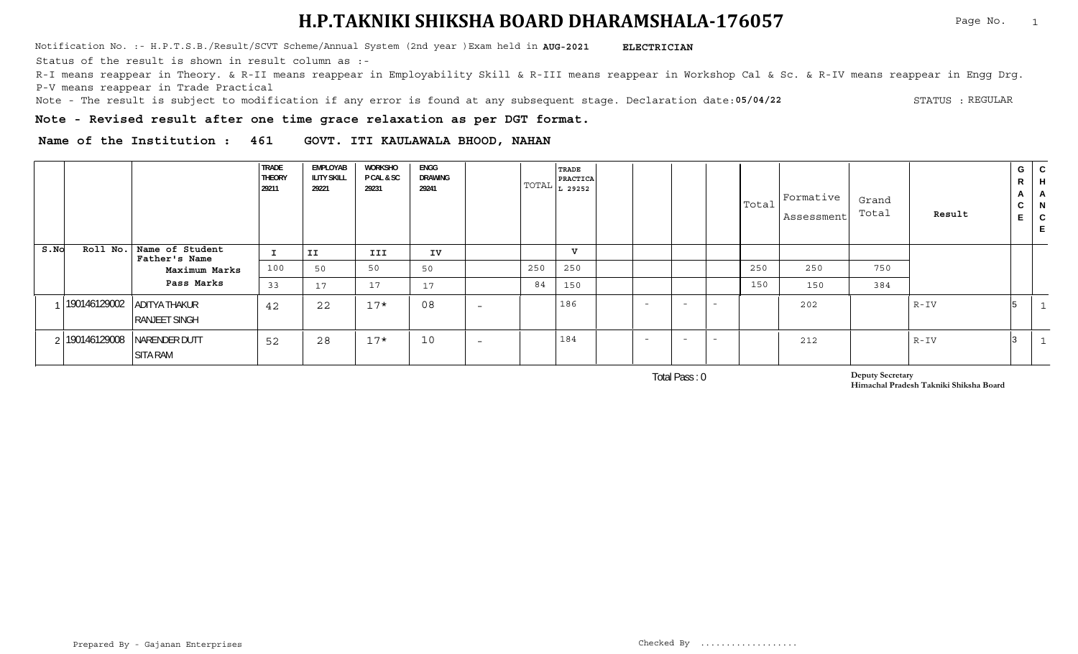Notification No. :- H.P.T.S.B./Result/SCVT Scheme/Annual System (2nd year )Exam held in **AUG-2021 ELECTRICIAN** 

Status of the result is shown in result column as :-

R-I means reappear in Theory. & R-II means reappear in Employability Skill & R-III means reappear in Workshop Cal & Sc. & R-IV means reappear in Engg Drg. P-V means reappear in Trade Practical

**05/04/22** Note - The result is subject to modification if any error is found at any subsequent stage. Declaration date: STATUS : STATUS : REGULAR

**Note - Revised result after one time grace relaxation as per DGT format.**

**Name of the Institution : 461 GOVT. ITI KAULAWALA BHOOD, NAHAN**

|      |          |                                                     | <b>TRADE</b><br><b>THEORY</b><br>29211 | EMPLOYAB<br><b>ILITY SKILL</b><br>29221 | <b>WORKSHO</b><br>P CAL & SC<br>29231 | <b>ENGG</b><br>DRAWING<br>29241 |                          | TRADE<br>PRACTICA<br>$ TOTAL _{L}$ 29252 $ $ |                          |            |                          |     | $ \texttt{Total} $ Formative<br>Assessment | Grand<br>Total | Result   | G<br>R<br>A<br>$\sim$<br>◡<br>$\mathbf{r}$<br>Е. | ◡<br>-п<br>A<br>- 14<br>$\sim$<br>◡ |
|------|----------|-----------------------------------------------------|----------------------------------------|-----------------------------------------|---------------------------------------|---------------------------------|--------------------------|----------------------------------------------|--------------------------|------------|--------------------------|-----|--------------------------------------------|----------------|----------|--------------------------------------------------|-------------------------------------|
| S.NO | Roll No. | Name of Student<br>Father's Name                    |                                        | II                                      | III                                   | IV                              |                          | $\mathbf{v}$                                 |                          |            |                          |     |                                            |                |          |                                                  |                                     |
|      |          | Maximum Marks                                       | 100                                    | 50                                      | 50                                    | 50                              | 250                      | 250                                          |                          |            |                          | 250 | 250                                        | 750            |          |                                                  |                                     |
|      |          | Pass Marks                                          | 33                                     | 17                                      | 17                                    | 17                              |                          | 84<br>150                                    |                          |            |                          | 150 | 150                                        | 384            |          |                                                  |                                     |
|      |          | 190146129002 ADITYA THAKUR<br><b>RANJEET SINGH</b>  | 42                                     | 22                                      | $17*$                                 | 08                              | $\overline{\phantom{0}}$ | 186                                          | $\sim$                   | <b>COL</b> | $\overline{\phantom{a}}$ |     | 202                                        |                | $R - IV$ |                                                  |                                     |
|      |          | 2   190146129008   NARENDER DUTT<br><b>SITA RAM</b> | 52                                     | 28                                      | $17*$                                 | 10                              | $\overline{\phantom{0}}$ | 184                                          | $\overline{\phantom{0}}$ | $-$        | $\overline{\phantom{a}}$ |     | 212                                        |                | $R - IV$ |                                                  |                                     |

Total Pass : 0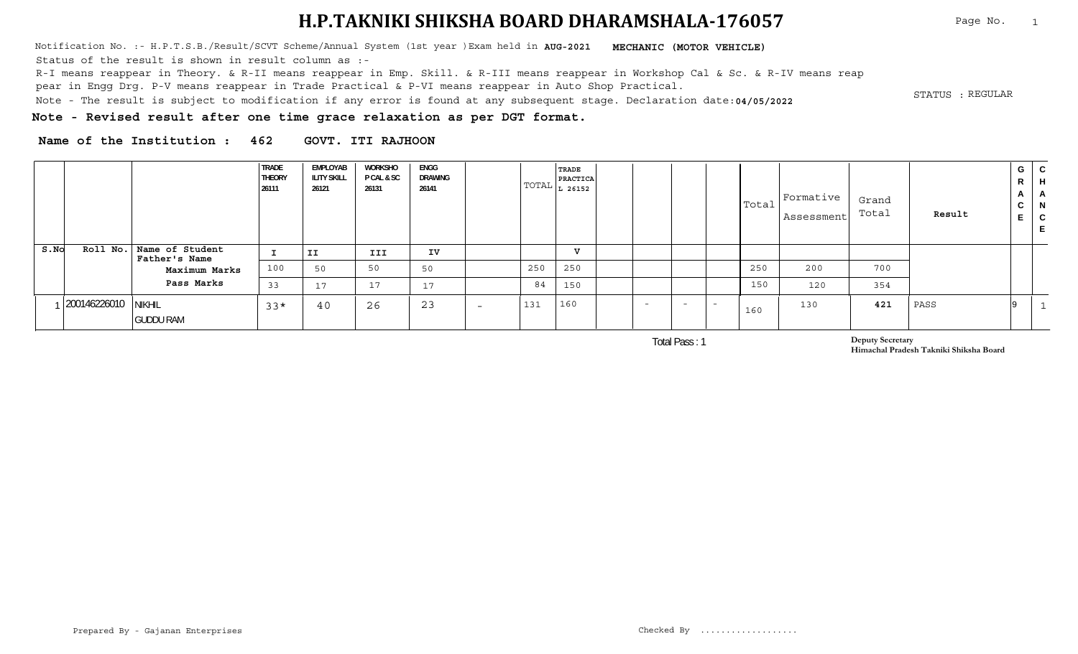Notification No. :- H.P.T.S.B./Result/SCVT Scheme/Annual System (1st year )Exam held in **MECHANIC (MOTOR VEHICLE) AUG-2021** Status of the result is shown in result column as :-

R-I means reappear in Theory. & R-II means reappear in Emp. Skill. & R-III means reappear in Workshop Cal & Sc. & R-IV means reap

pear in Engg Drg. P-V means reappear in Trade Practical & P-VI means reappear in Auto Shop Practical.

. STATUS :<br>Note - The result is subject to modification if any error is found at any subsequent stage. Declaration date:**04/05/2022** 

**Note - Revised result after one time grace relaxation as per DGT format.**

**Name of the Institution : 462 GOVT. ITI RAJHOON**

|      |              |                                             | <b>TRADE</b><br><b>THEORY</b><br>26111 | EMPLOYAB<br><b>ILITY SKILL</b><br>26121 | WORKSHO<br><b>PCAL &amp; SC</b><br>26131 | ENGG<br>DRAWING<br>26141 |                          |     | <b>TRADE</b><br><b>PRACTICA</b><br>$\vert$ TOTAL $\vert$ $_{\rm L}$ 26152 $\vert$ |                          |                          |        | Total | Formative<br>Assessment | Grand<br>Total | Result | G  <br>R<br>$\mathbf{A}$<br>ັບ | C.<br>$\mathsf{H}$<br>$\mathbf{H}$<br>- N<br>C |
|------|--------------|---------------------------------------------|----------------------------------------|-----------------------------------------|------------------------------------------|--------------------------|--------------------------|-----|-----------------------------------------------------------------------------------|--------------------------|--------------------------|--------|-------|-------------------------|----------------|--------|--------------------------------|------------------------------------------------|
| S.NO |              | Roll No.   Name of Student<br>Father's Name |                                        | II                                      | III                                      | IV                       |                          |     | $\overline{v}$                                                                    |                          |                          |        |       |                         |                |        |                                |                                                |
|      |              | Maximum Marks                               | 100                                    | 50                                      | 50                                       | 50                       |                          | 250 | 250                                                                               |                          |                          |        | 250   | 200                     | 700            |        |                                |                                                |
|      |              | Pass Marks                                  | 33                                     | 17                                      | 17                                       | 17                       |                          | 84  | 150                                                                               |                          |                          |        | 150   | 120                     | 354            |        |                                |                                                |
|      | 200146226010 | <b>NIKHIL</b><br><b>GUDDU RAM</b>           | $33*$                                  | 40                                      | 26                                       | 23                       | $\overline{\phantom{0}}$ | 131 | 160                                                                               | $\overline{\phantom{0}}$ | $\overline{\phantom{0}}$ | $\sim$ | 160   | 130                     | 421            | PASS   |                                |                                                |

Total Pass : 1

**Deputy Secretary Himachal Pradesh Takniki Shiksha Board**

STATUS : REGULAR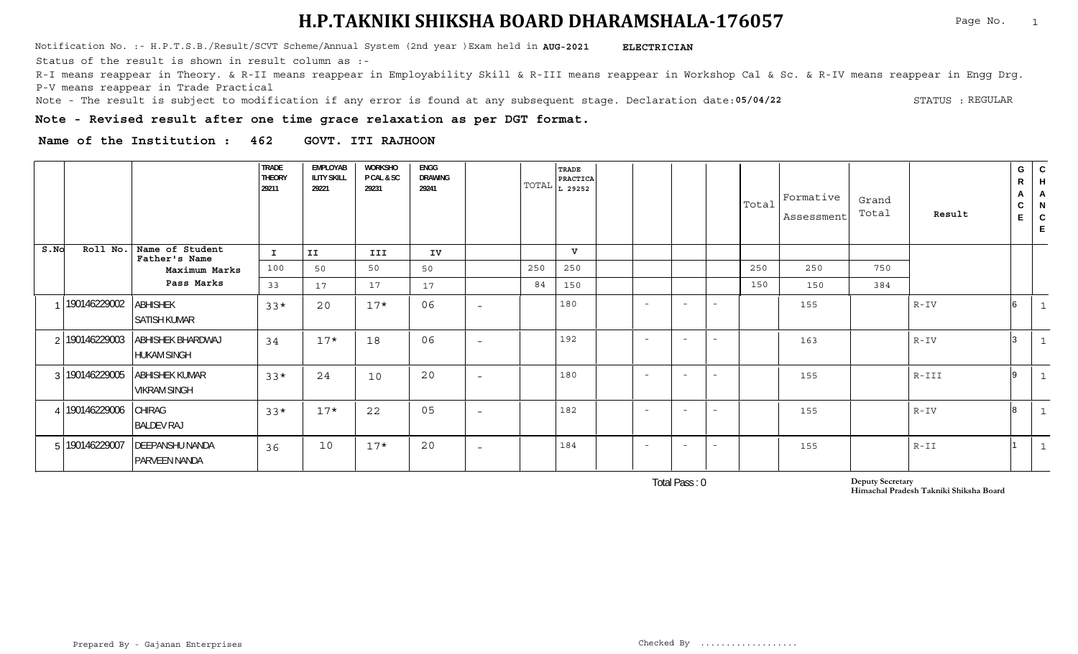Notification No. :- H.P.T.S.B./Result/SCVT Scheme/Annual System (2nd year )Exam held in **AUG-2021 ELECTRICIAN** 

Status of the result is shown in result column as :-

R-I means reappear in Theory. & R-II means reappear in Employability Skill & R-III means reappear in Workshop Cal & Sc. & R-IV means reappear in Engg Drg. P-V means reappear in Trade Practical

**05/04/22** Note - The result is subject to modification if any error is found at any subsequent stage. Declaration date: STATUS : STATUS : REGULAR

**Note - Revised result after one time grace relaxation as per DGT format.**

**Name of the Institution : 462 GOVT. ITI RAJHOON**

|      |                |                                         | <b>TRADE</b><br><b>THEORY</b><br>29211 | <b>EMPLOYAB</b><br><b>ILITY SKILL</b><br>29221 | <b>WORKSHO</b><br>P CAL & SC<br>29231 | <b>ENGG</b><br><b>DRAWING</b><br>29241 |                          |     | <b>TRADE</b><br>PRACTICA<br>$\text{TOTAL}\left _{\text{L}}\right.$ 29252 |                          |                          |                          | Total | Formative<br>Assessment | Grand<br>Total | Result   | G<br>R<br>A<br>C<br>E. | ${\mathsf C}$<br>H<br>$\overline{A}$<br>N<br>$\mathsf{C}$<br>E |
|------|----------------|-----------------------------------------|----------------------------------------|------------------------------------------------|---------------------------------------|----------------------------------------|--------------------------|-----|--------------------------------------------------------------------------|--------------------------|--------------------------|--------------------------|-------|-------------------------|----------------|----------|------------------------|----------------------------------------------------------------|
| S.NO | Roll No.       | Name of Student<br>Father's Name        | I.                                     | II                                             | <b>III</b>                            | IV                                     |                          |     | $\mathbf{v}$                                                             |                          |                          |                          |       |                         |                |          |                        |                                                                |
|      |                | Maximum Marks                           | 100                                    | 50                                             | 50                                    | 50                                     |                          | 250 | 250                                                                      |                          |                          |                          | 250   | 250                     | 750            |          |                        |                                                                |
|      |                | Pass Marks                              | 33                                     | 17                                             | 17                                    | 17                                     |                          | 84  | 150                                                                      |                          |                          |                          | 150   | 150                     | 384            |          |                        |                                                                |
|      | 190146229002   | <b>ABHISHEK</b><br><b>SATISH KUMAR</b>  | $33*$                                  | 20                                             | $17*$                                 | 06                                     | $\overline{\phantom{a}}$ |     | 180                                                                      | $\sim$                   | $\overline{\phantom{a}}$ | $\overline{\phantom{0}}$ |       | 155                     |                | $R - IV$ | 6                      | $\mathbf{1}$                                                   |
|      | 2 190146229003 | ABHISHEK BHARDWAJ<br><b>HUKAM SINGH</b> | 34                                     | $17*$                                          | 18                                    | 06                                     | $\overline{\phantom{a}}$ |     | 192                                                                      | $\overline{\phantom{a}}$ | $\overline{\phantom{a}}$ | $\overline{\phantom{0}}$ |       | 163                     |                | $R-IV$   |                        | $\mathbf{1}$                                                   |
|      | 3 190146229005 | ABHISHEK KUMAR<br><b>VIKRAM SINGH</b>   | $33*$                                  | 24                                             | 10                                    | 20                                     | $\overline{\phantom{0}}$ |     | 180                                                                      | $\overline{\phantom{0}}$ | $\overline{\phantom{a}}$ | $\overline{\phantom{a}}$ |       | 155                     |                | R-III    | $\mathsf{Q}$           | $\mathbf{1}$                                                   |
|      | 4 190146229006 | CHIRAG<br><b>BALDEV RAJ</b>             | $33*$                                  | $17*$                                          | 22                                    | 05                                     | $\overline{\phantom{0}}$ |     | 182                                                                      | $\overline{\phantom{a}}$ | $\overline{\phantom{a}}$ | $\overline{\phantom{a}}$ |       | 155                     |                | $R - IV$ | 8                      | $\mathbf{1}$                                                   |
|      | 5 190146229007 | <b>DEEPANSHU NANDA</b><br>PARVEEN NANDA | 36                                     | 10                                             | $17*$                                 | 20                                     | $\overline{\phantom{0}}$ |     | 184                                                                      | $-$                      | $\sim$                   | $\overline{\phantom{a}}$ |       | 155                     |                | $R - II$ |                        | $\mathbf{1}$                                                   |

Total Pass : 0

**Deputy Secretary Himachal Pradesh Takniki Shiksha Board**

Page No. 1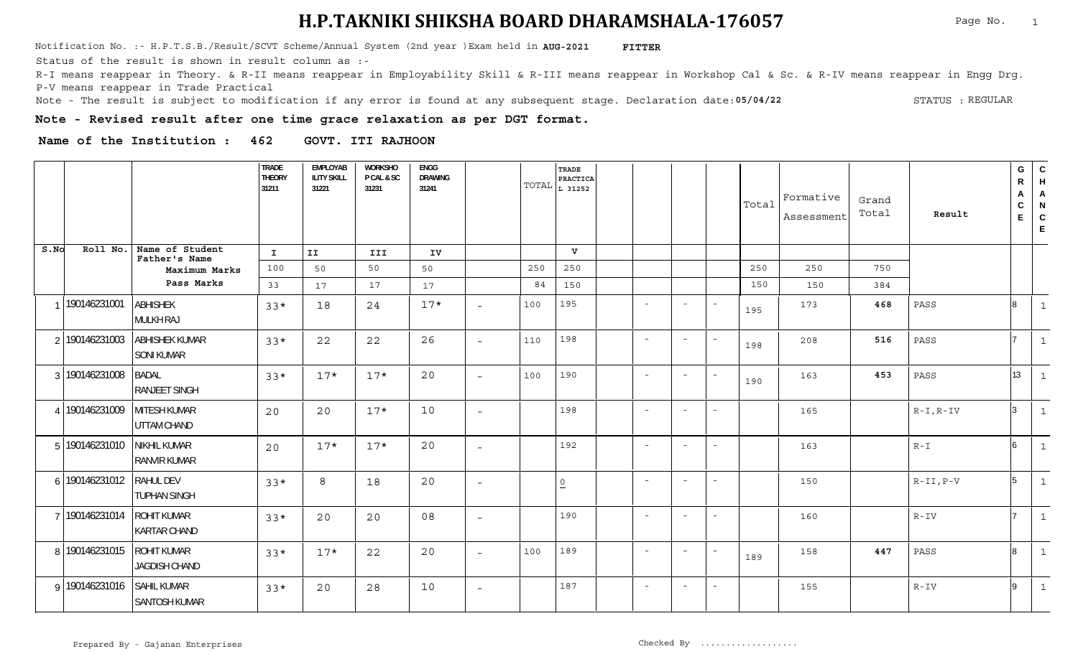<code>Notification No. :- H.P.T.S.B./Result/SCVT Scheme/Annual System (2nd year )Exam held in <code>AUG-2021 FITTER</code></code>

Status of the result is shown in result column as :-

R-I means reappear in Theory. & R-II means reappear in Employability Skill & R-III means reappear in Workshop Cal & Sc. & R-IV means reappear in Engg Drg. P-V means reappear in Trade Practical

**05/04/22** Note - The result is subject to modification if any error is found at any subsequent stage. Declaration date: STATUS : STATUS : REGULAR

**Note - Revised result after one time grace relaxation as per DGT format.**

**Name of the Institution : 462 GOVT. ITI RAJHOON**

|      |                |                                            | TRADE<br><b>THEORY</b><br>31211 | <b>EMPLOYAB</b><br><b>ILITY SKILL</b><br>31221 | <b>WORKSHO</b><br>P CAL & SC<br>31231 | ENGG<br><b>DRAWING</b><br>31241 |                          |     | TRADE<br>PRACTICA<br>TOTAL $L_{31252}$ |                          |                          |                          | Total | Formative<br>Assessment | Grand<br>Total | Result      | ${\mathsf G}$<br>${\sf R}$<br>A<br>C<br>E | C<br>H<br>$\overline{A}$<br>N<br>$\mathsf C$<br>$\mathsf E$ |
|------|----------------|--------------------------------------------|---------------------------------|------------------------------------------------|---------------------------------------|---------------------------------|--------------------------|-----|----------------------------------------|--------------------------|--------------------------|--------------------------|-------|-------------------------|----------------|-------------|-------------------------------------------|-------------------------------------------------------------|
| S.NO | Roll No.       | Name of Student<br>Father's Name           | $\mathbf{I}$                    | II.                                            | III                                   | IV                              |                          |     | $\mathbf v$                            |                          |                          |                          |       |                         |                |             |                                           |                                                             |
|      |                | Maximum Marks                              | 100                             | 50                                             | 50                                    | 50                              |                          | 250 | 250                                    |                          |                          |                          | 250   | 250                     | 750            |             |                                           |                                                             |
|      |                | Pass Marks                                 | 33                              | 17                                             | 17                                    | 17                              |                          | 84  | 150                                    |                          |                          |                          | 150   | 150                     | 384            |             |                                           |                                                             |
|      | 190146231001   | <b>ABHISHEK</b><br><b>MULKH RAJ</b>        | $33*$                           | 18                                             | 24                                    | $17*$                           |                          | 100 | 195                                    | $\overline{\phantom{a}}$ | $\overline{\phantom{a}}$ | $\sim$                   | 195   | 173                     | 468            | PASS        |                                           | $\mathbf{1}$                                                |
|      | 2 190146231003 | ABHISHEK KUMAR<br><b>SONI KUMAR</b>        | $33*$                           | 22                                             | 22                                    | 26                              | $\overline{\phantom{a}}$ | 110 | 198                                    | $\overline{\phantom{a}}$ | $\overline{\phantom{a}}$ | $\overline{\phantom{a}}$ | 198   | 208                     | 516            | PASS        |                                           | $\mathbf{1}$                                                |
|      | 3 190146231008 | <b>BADAL</b><br><b>RANJEET SINGH</b>       | $33*$                           | $17*$                                          | $17*$                                 | 20                              | $\overline{\phantom{a}}$ | 100 | 190                                    | $\sim$                   | $\sim$                   | $\sim$                   | 190   | 163                     | 453            | PASS        | 13 <sup>7</sup>                           | 1                                                           |
|      | 4 190146231009 | <b>MITESH KUMAR</b><br>UTTAM CHAND         | 20                              | 20                                             | $17*$                                 | 10                              | $\overline{\phantom{a}}$ |     | 198                                    | $\overline{\phantom{a}}$ | $\sim$                   | $\sim$                   |       | 165                     |                | $R-I, R-IV$ | ا ?                                       | $\mathbf{1}$                                                |
|      | 5 190146231010 | NIKHIL KUMAR<br><b>RANVIR KUMAR</b>        | 20                              | $17*$                                          | $17*$                                 | 20                              | $-$                      |     | 192                                    | $\overline{\phantom{a}}$ | $\sim$                   | $\sim$                   |       | 163                     |                | $R - I$     |                                           | $\mathbf{1}$                                                |
|      | 6 190146231012 | RAHUL DEV<br><b>TUPHAN SINGH</b>           | $33*$                           | 8                                              | 18                                    | 20                              | $-$                      |     | 0                                      | $\sim$                   | $\overline{\phantom{a}}$ | $\overline{\phantom{a}}$ |       | 150                     |                | $R-II, P-V$ |                                           | $\mathbf{1}$                                                |
|      | 7 190146231014 | <b>ROHIT KUMAR</b><br><b>KARTAR CHAND</b>  | $33*$                           | 20                                             | 20                                    | 08                              | $\overline{\phantom{a}}$ |     | 190                                    | $\overline{\phantom{a}}$ | $\overline{\phantom{a}}$ | $\sim$                   |       | 160                     |                | $R - IV$    |                                           | $\mathbf{1}$                                                |
|      | 8 190146231015 | ROHIT KUMAR<br>JAGDISH CHAND               | $33*$                           | $17*$                                          | 22                                    | 20                              | $ \,$                    | 100 | 189                                    | $\sim$                   | $\overline{\phantom{a}}$ | $\sim$                   | 189   | 158                     | 447            | PASS        |                                           | $\mathbf{1}$                                                |
|      | 9 190146231016 | <b>SAHIL KUMAR</b><br><b>SANTOSH KUMAR</b> | $33*$                           | 20                                             | 28                                    | 10                              | $\overline{\phantom{a}}$ |     | 187                                    | $\overline{\phantom{a}}$ | $\overline{\phantom{a}}$ | $\overline{\phantom{a}}$ |       | 155                     |                | $R - IV$    |                                           | $\mathbf{1}$                                                |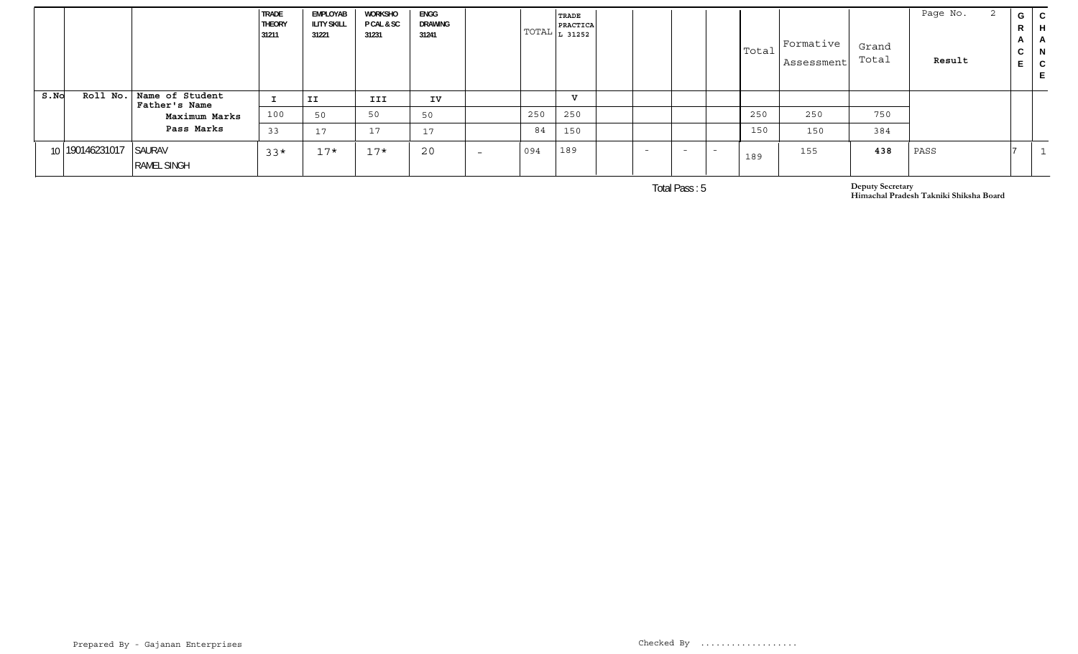|      |                 |                                           | <b>TRADE</b><br><b>THEORY</b><br>31211 | EMPLOYAB<br><b>ILITY SKILL</b><br>31221 | WORKSHO<br>P CAL & SC<br>31231 | ENGG<br>DRAWING<br>31241 |                          |     | TRADE<br><b>PRACTICA</b><br>  TOTAL $\vert$ $_{\rm L}$ 31252 $\vert$ |  |                          |                          |     | $ \text{Total} $ Formative $\blacksquare$<br>Assessment | Grand<br>Total | Page No.<br>Result | G<br>R<br>$\mathsf{A}$<br>◡ |  |
|------|-----------------|-------------------------------------------|----------------------------------------|-----------------------------------------|--------------------------------|--------------------------|--------------------------|-----|----------------------------------------------------------------------|--|--------------------------|--------------------------|-----|---------------------------------------------------------|----------------|--------------------|-----------------------------|--|
| S.NO |                 | Roll No. Name of Student<br>Father's Name | <u>. на п</u>                          | IJ                                      | III                            | IV                       |                          |     | v                                                                    |  |                          |                          |     |                                                         |                |                    |                             |  |
|      |                 | Maximum Marks                             | 100                                    | 50                                      | 50                             | 50                       |                          | 250 | 250                                                                  |  |                          |                          | 250 | 250                                                     | 750            |                    |                             |  |
|      |                 | Pass Marks                                | 33                                     | 17                                      | 17                             | 17                       |                          | 84  | 150                                                                  |  |                          |                          | 150 | 150                                                     | 384            |                    |                             |  |
|      | 10 190146231017 | SAURAV<br><b>RAMEL SINGH</b>              | $33*$                                  | $17*$                                   | $17*$                          | 20                       | $\overline{\phantom{0}}$ | 094 | 189                                                                  |  | $\overline{\phantom{0}}$ | $\overline{\phantom{0}}$ | 189 | 155                                                     | 438            | PASS               |                             |  |

Total Pass : 5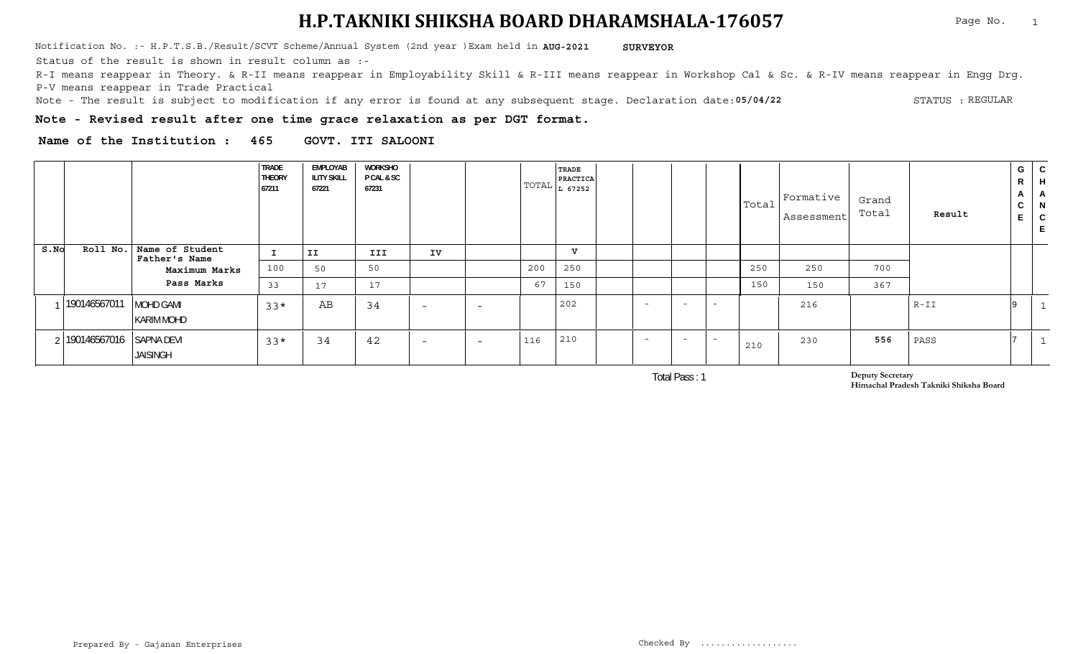Notification No. :- H.P.T.S.B./Result/SCVT Scheme/Annual System (2nd year )Exam held in **AUG-2021 SURVEYOR** 

Status of the result is shown in result column as :-

R-I means reappear in Theory. & R-II means reappear in Employability Skill & R-III means reappear in Workshop Cal & Sc. & R-IV means reappear in Engg Drg. P-V means reappear in Trade Practical

**05/04/22** Note - The result is subject to modification if any error is found at any subsequent stage. Declaration date: STATUS : STATUS : REGULAR

**Note - Revised result after one time grace relaxation as per DGT format.**

**Name of the Institution : 465 GOVT. ITI SALOONI**

|      |              |                                       | <b>TRADE</b><br><b>THEORY</b><br>67211 | EMPLOYAB<br><b>ILITY SKILL</b><br>67221 | WORKSHO<br>P CAL & SC<br>67231 |                          |                          |     | TRADE<br>PRACTICA<br>$ TOTAL _{L}$ 67252 |                          |                          |                          |     | $\vert$ Total $\vert$ <sup>Formative</sup><br>Assessment | Grand<br>Total | Result | G<br>R<br>$\mathbf{A}$<br>$\sim$<br>◡<br>- | C<br>$\mathsf{H}$<br>- A<br>N<br>C |
|------|--------------|---------------------------------------|----------------------------------------|-----------------------------------------|--------------------------------|--------------------------|--------------------------|-----|------------------------------------------|--------------------------|--------------------------|--------------------------|-----|----------------------------------------------------------|----------------|--------|--------------------------------------------|------------------------------------|
| S.NO | Roll No.     | Name of Student<br>Father's Name      |                                        | II                                      | III                            | IV                       |                          |     | TT.                                      |                          |                          |                          |     |                                                          |                |        |                                            |                                    |
|      |              | Maximum Marks                         | 100                                    | 50                                      | 50                             |                          |                          | 200 | 250                                      |                          |                          |                          | 250 | 250                                                      | 700            |        |                                            |                                    |
|      |              | Pass Marks                            | 33                                     | 17                                      | 17                             |                          |                          | 67  | 150                                      |                          |                          |                          | 150 | 150                                                      | 367            |        |                                            |                                    |
|      | 190146567011 | <b>MOHD GAMI</b><br><b>KARIM MOHD</b> | $33*$                                  | AB                                      | 34                             | $\overline{\phantom{0}}$ | $\overline{\phantom{0}}$ |     | 202                                      | $\overline{\phantom{0}}$ | $\overline{\phantom{0}}$ | $-$                      |     | 216                                                      |                | $R-II$ |                                            |                                    |
|      | 190146567016 | <b>SAPNA DEVI</b><br><b>JAISINGH</b>  | $33*$                                  | 34                                      | 42                             | $\overline{\phantom{0}}$ | $\overline{\phantom{0}}$ | 116 | 210                                      | $\sim$                   | $\overline{\phantom{0}}$ | $\overline{\phantom{a}}$ | 210 | 230                                                      | 556            | PASS   |                                            |                                    |

Total Pass : 1